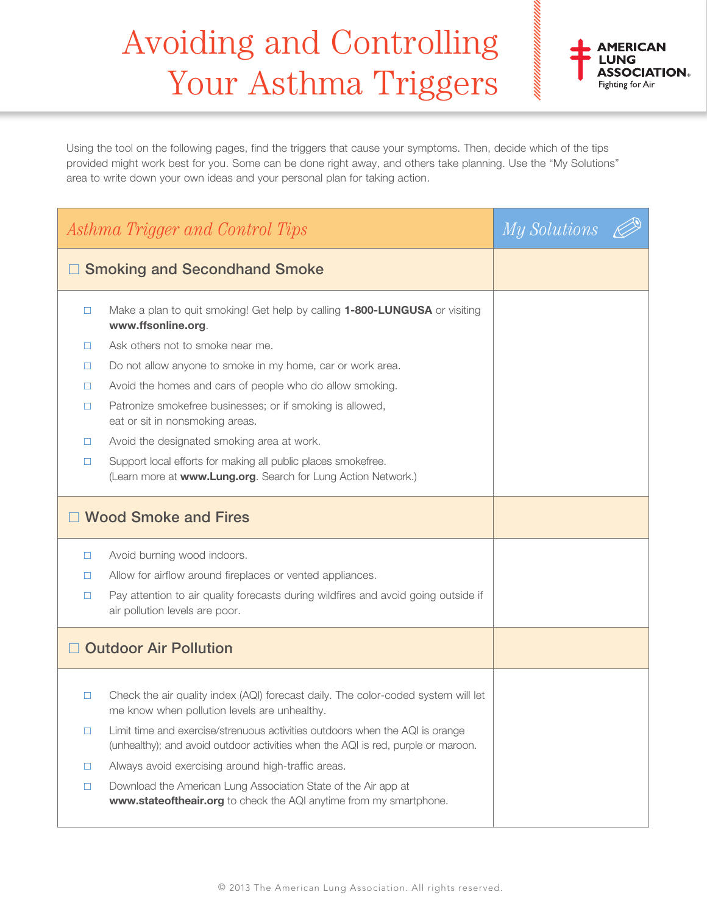## Avoiding and Controlling Your Asthma Triggers



Using the tool on the following pages, find the triggers that cause your symptoms. Then, decide which of the tips provided might work best for you. Some can be done right away, and others take planning. Use the "My Solutions" area to write down your own ideas and your personal plan for taking action.

| Asthma Trigger and Control Tips     |                                                                                                                                                                  | My Solutions & |  |
|-------------------------------------|------------------------------------------------------------------------------------------------------------------------------------------------------------------|----------------|--|
| <b>Smoking and Secondhand Smoke</b> |                                                                                                                                                                  |                |  |
| □                                   | Make a plan to quit smoking! Get help by calling 1-800-LUNGUSA or visiting<br>www.ffsonline.org.                                                                 |                |  |
| □                                   | Ask others not to smoke near me.                                                                                                                                 |                |  |
| □                                   | Do not allow anyone to smoke in my home, car or work area.                                                                                                       |                |  |
| □                                   | Avoid the homes and cars of people who do allow smoking.                                                                                                         |                |  |
| □                                   | Patronize smokefree businesses; or if smoking is allowed,<br>eat or sit in nonsmoking areas.                                                                     |                |  |
| □                                   | Avoid the designated smoking area at work.                                                                                                                       |                |  |
| □                                   | Support local efforts for making all public places smokefree.<br>(Learn more at www.Lung.org. Search for Lung Action Network.)                                   |                |  |
| □ Wood Smoke and Fires              |                                                                                                                                                                  |                |  |
| □                                   | Avoid burning wood indoors.                                                                                                                                      |                |  |
| □                                   | Allow for airflow around fireplaces or vented appliances.                                                                                                        |                |  |
| □                                   | Pay attention to air quality forecasts during wildfires and avoid going outside if<br>air pollution levels are poor.                                             |                |  |
| <b>Outdoor Air Pollution</b>        |                                                                                                                                                                  |                |  |
| $\Box$                              | Check the air quality index (AQI) forecast daily. The color-coded system will let<br>me know when pollution levels are unhealthy.                                |                |  |
| □                                   | Limit time and exercise/strenuous activities outdoors when the AQI is orange<br>(unhealthy); and avoid outdoor activities when the AQI is red, purple or maroon. |                |  |
| $\Box$                              | Always avoid exercising around high-traffic areas.                                                                                                               |                |  |
| $\Box$                              | Download the American Lung Association State of the Air app at<br>www.stateoftheair.org to check the AQI anytime from my smartphone.                             |                |  |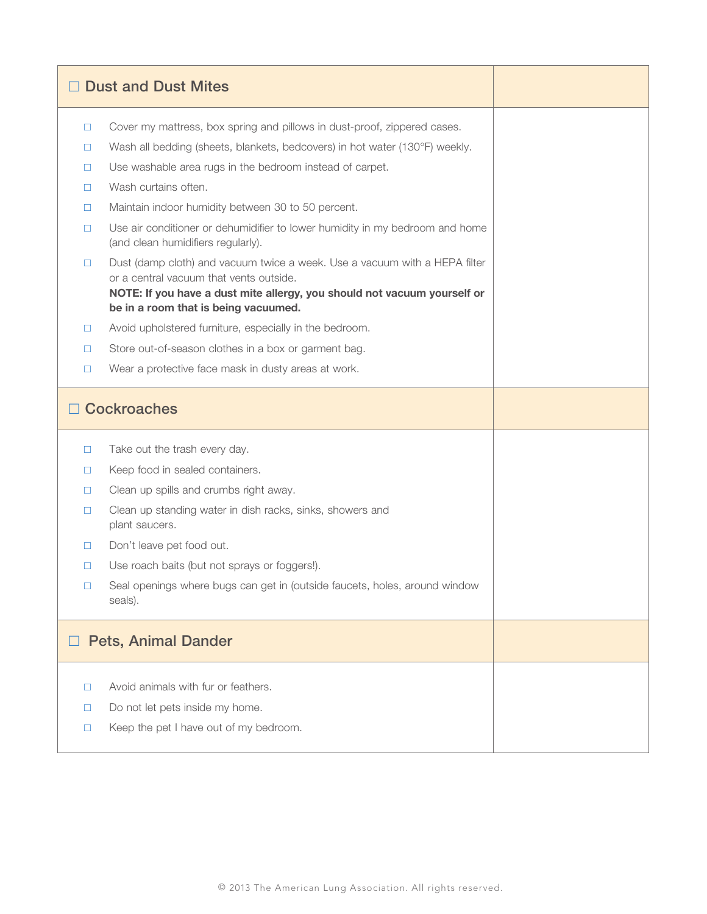|                            | <b>Dust and Dust Mites</b>                                                                                            |  |
|----------------------------|-----------------------------------------------------------------------------------------------------------------------|--|
| $\Box$                     | Cover my mattress, box spring and pillows in dust-proof, zippered cases.                                              |  |
| $\Box$                     | Wash all bedding (sheets, blankets, bedcovers) in hot water (130°F) weekly.                                           |  |
| $\Box$                     | Use washable area rugs in the bedroom instead of carpet.                                                              |  |
| □                          | Wash curtains often.                                                                                                  |  |
| □                          | Maintain indoor humidity between 30 to 50 percent.                                                                    |  |
| □                          | Use air conditioner or dehumidifier to lower humidity in my bedroom and home<br>(and clean humidifiers regularly).    |  |
| $\Box$                     | Dust (damp cloth) and vacuum twice a week. Use a vacuum with a HEPA filter<br>or a central vacuum that vents outside. |  |
|                            | NOTE: If you have a dust mite allergy, you should not vacuum yourself or<br>be in a room that is being vacuumed.      |  |
| $\Box$                     | Avoid upholstered furniture, especially in the bedroom.                                                               |  |
| □                          | Store out-of-season clothes in a box or garment bag.                                                                  |  |
| $\Box$                     | Wear a protective face mask in dusty areas at work.                                                                   |  |
|                            | <b>Cockroaches</b>                                                                                                    |  |
| $\Box$                     | Take out the trash every day.                                                                                         |  |
| $\Box$                     | Keep food in sealed containers.                                                                                       |  |
| $\Box$                     | Clean up spills and crumbs right away.                                                                                |  |
| $\Box$                     | Clean up standing water in dish racks, sinks, showers and<br>plant saucers.                                           |  |
| $\Box$                     | Don't leave pet food out.                                                                                             |  |
| □                          | Use roach baits (but not sprays or foggers!).                                                                         |  |
| □                          | Seal openings where bugs can get in (outside faucets, holes, around window<br>seals).                                 |  |
| <b>Pets, Animal Dander</b> |                                                                                                                       |  |
| $\Box$                     | Avoid animals with fur or feathers.                                                                                   |  |
| □                          | Do not let pets inside my home.                                                                                       |  |
| $\Box$                     | Keep the pet I have out of my bedroom.                                                                                |  |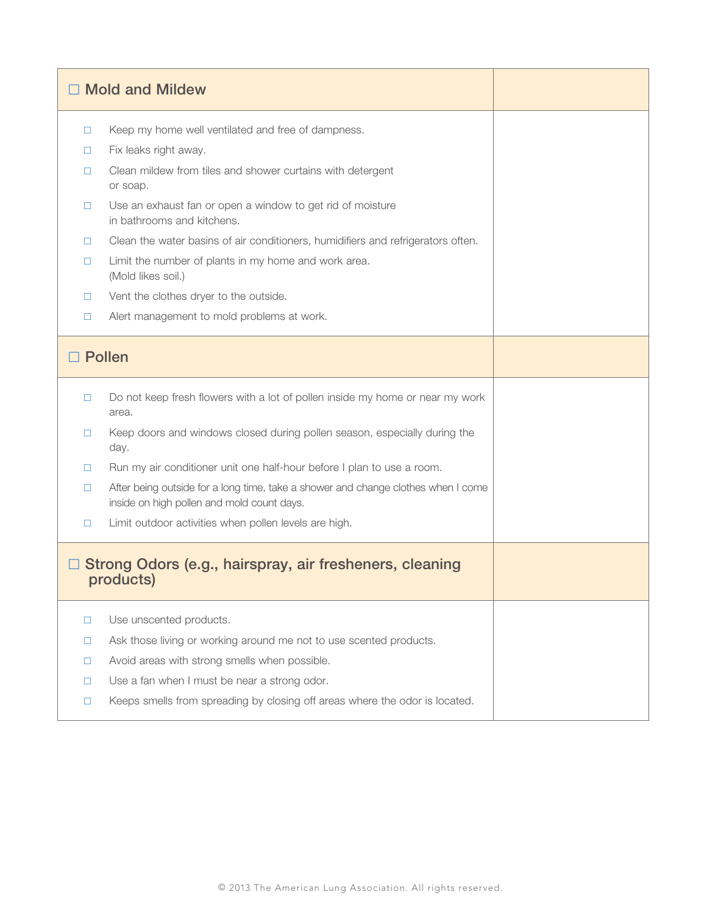|                                                                      | <b>Mold and Mildew</b>                                                                                                          |  |
|----------------------------------------------------------------------|---------------------------------------------------------------------------------------------------------------------------------|--|
| $\Box$                                                               | Keep my home well ventilated and free of dampness.                                                                              |  |
| □                                                                    | Fix leaks right away.                                                                                                           |  |
| п                                                                    | Clean mildew from tiles and shower curtains with detergent<br>or soap.                                                          |  |
| □                                                                    | Use an exhaust fan or open a window to get rid of moisture<br>in bathrooms and kitchens.                                        |  |
| □                                                                    | Clean the water basins of air conditioners, humidifiers and refrigerators often.                                                |  |
| □                                                                    | Limit the number of plants in my home and work area.<br>(Mold likes soil.)                                                      |  |
| □                                                                    | Vent the clothes dryer to the outside.                                                                                          |  |
| □                                                                    | Alert management to mold problems at work.                                                                                      |  |
|                                                                      | <b>Pollen</b>                                                                                                                   |  |
| □                                                                    | Do not keep fresh flowers with a lot of pollen inside my home or near my work<br>area.                                          |  |
| $\Box$                                                               | Keep doors and windows closed during pollen season, especially during the<br>day.                                               |  |
| □                                                                    | Run my air conditioner unit one half-hour before I plan to use a room.                                                          |  |
| □                                                                    | After being outside for a long time, take a shower and change clothes when I come<br>inside on high pollen and mold count days. |  |
| $\Box$                                                               | Limit outdoor activities when pollen levels are high.                                                                           |  |
| Strong Odors (e.g., hairspray, air fresheners, cleaning<br>products) |                                                                                                                                 |  |
| $\Box$                                                               | Use unscented products.                                                                                                         |  |
| □                                                                    | Ask those living or working around me not to use scented products.                                                              |  |
| $\Box$                                                               | Avoid areas with strong smells when possible.                                                                                   |  |
| $\Box$                                                               | Use a fan when I must be near a strong odor.                                                                                    |  |
| $\Box$                                                               | Keeps smells from spreading by closing off areas where the odor is located.                                                     |  |